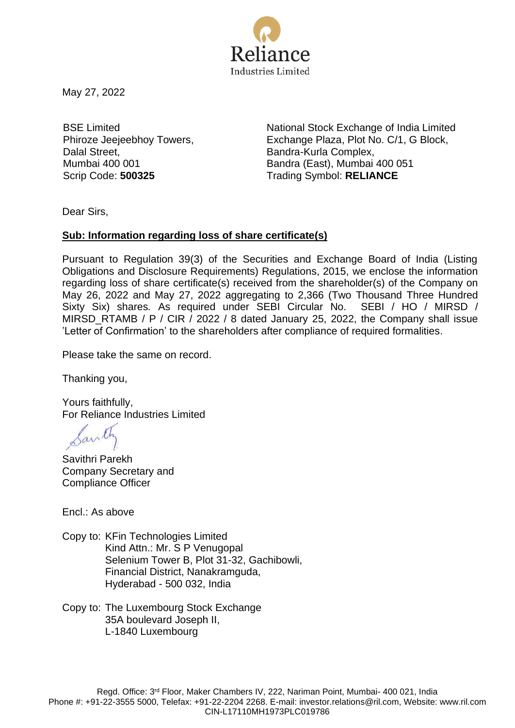

May 27, 2022

BSE Limited Phiroze Jeejeebhoy Towers, Dalal Street, Mumbai 400 001

National Stock Exchange of India Limited Exchange Plaza, Plot No. C/1, G Block, Bandra-Kurla Complex, Bandra (East), Mumbai 400 051 Scrip Code: **500325** Trading Symbol: **RELIANCE**

Dear Sirs,

## **Sub: Information regarding loss of share certificate(s)**

Pursuant to Regulation 39(3) of the Securities and Exchange Board of India (Listing Obligations and Disclosure Requirements) Regulations, 2015, we enclose the information regarding loss of share certificate(s) received from the shareholder(s) of the Company on May 26, 2022 and May 27, 2022 aggregating to 2,366 (Two Thousand Three Hundred Sixty Six) shares*.* As required under SEBI Circular No. SEBI / HO / MIRSD / MIRSD\_RTAMB / P / CIR / 2022 / 8 dated January 25, 2022, the Company shall issue 'Letter of Confirmation' to the shareholders after compliance of required formalities.

Please take the same on record.

Thanking you,

Yours faithfully, For Reliance Industries Limited

Savithri Parekh Company Secretary and Compliance Officer

Encl.: As above

- Copy to: KFin Technologies Limited Kind Attn.: Mr. S P Venugopal Selenium Tower B, Plot 31-32, Gachibowli, Financial District, Nanakramguda, Hyderabad - 500 032, India
- Copy to: The Luxembourg Stock Exchange 35A boulevard Joseph II, L-1840 Luxembourg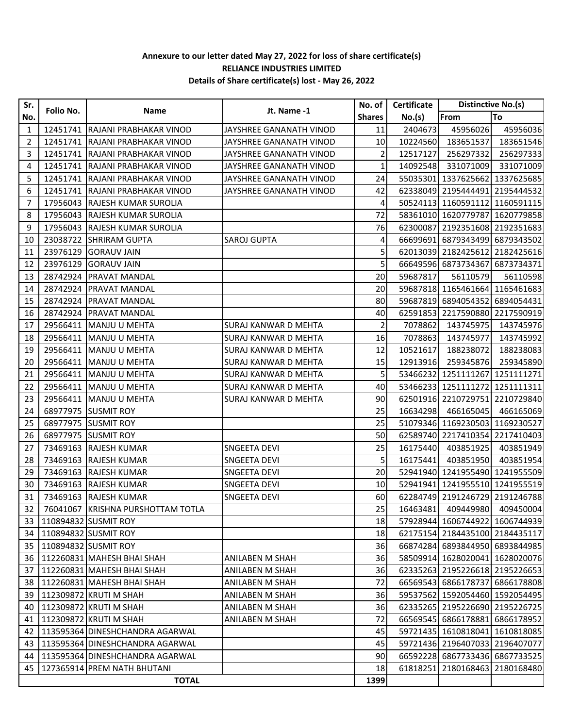## **Annexure to our letter dated May 27, 2022 for loss of share certificate(s) RELIANCE INDUSTRIES LIMITED Details of Share certificate(s) lost - May 26, 2022**

| Sr.          | Folio No. | Name                                     | Jt. Name -1                 | No. of          | Certificate | Distinctive No.(s)             |            |
|--------------|-----------|------------------------------------------|-----------------------------|-----------------|-------------|--------------------------------|------------|
| No.          |           |                                          |                             | <b>Shares</b>   | No.(s)      | From                           | To         |
| 1            | 12451741  | RAJANI PRABHAKAR VINOD                   | JAYSHREE GANANATH VINOD     | 11              | 2404673     | 45956026                       | 45956036   |
| 2            | 12451741  | <b>RAJANI PRABHAKAR VINOD</b>            | JAYSHREE GANANATH VINOD     | 10              | 10224560    | 183651537                      | 183651546  |
| 3            | 12451741  | RAJANI PRABHAKAR VINOD                   | JAYSHREE GANANATH VINOD     | $\overline{2}$  | 12517127    | 256297332                      | 256297333  |
| 4            | 12451741  | RAJANI PRABHAKAR VINOD                   | JAYSHREE GANANATH VINOD     | 1               | 14092548    | 331071009                      | 331071009  |
| 5            | 12451741  | RAJANI PRABHAKAR VINOD                   | JAYSHREE GANANATH VINOD     | 24              |             | 55035301 1337625662            | 1337625685 |
| 6            | 12451741  | <b>RAJANI PRABHAKAR VINOD</b>            | JAYSHREE GANANATH VINOD     | 42              |             | 62338049 2195444491 2195444532 |            |
| 7            | 17956043  | <b>RAJESH KUMAR SUROLIA</b>              |                             | 4               |             | 50524113 1160591112 1160591115 |            |
| 8            | 17956043  | <b>RAJESH KUMAR SUROLIA</b>              |                             | 72              |             | 58361010 1620779787            | 1620779858 |
| 9            | 17956043  | <b>RAJESH KUMAR SUROLIA</b>              |                             | 76              |             | 62300087 2192351608 2192351683 |            |
| 10           | 23038722  | <b>SHRIRAM GUPTA</b>                     | <b>SAROJ GUPTA</b>          | 4               |             | 66699691 6879343499 6879343502 |            |
| 11           | 23976129  | <b>GORAUV JAIN</b>                       |                             | 5               |             | 62013039 2182425612            | 2182425616 |
| 12           | 23976129  | <b>GORAUV JAIN</b>                       |                             | 5               |             | 66649596 6873734367            | 6873734371 |
| 13           | 28742924  | <b>PRAVAT MANDAL</b>                     |                             | 20              | 59687817    | 56110579                       | 56110598   |
| 14           | 28742924  | <b>PRAVAT MANDAL</b>                     |                             | 20              |             | 59687818 1165461664 1165461683 |            |
| 15           | 28742924  | <b>PRAVAT MANDAL</b>                     |                             | 80              |             | 59687819 6894054352 6894054431 |            |
| 16           | 28742924  | <b>PRAVAT MANDAL</b>                     |                             | 40              |             | 62591853 2217590880 2217590919 |            |
| 17           | 29566411  | <b>MANJU U MEHTA</b>                     | SURAJ KANWAR D MEHTA        | 2               | 7078862     | 143745975                      | 143745976  |
| 18           | 29566411  | MANJU U MEHTA                            | <b>SURAJ KANWAR D MEHTA</b> | 16              | 7078863     | 143745977                      | 143745992  |
| 19           | 29566411  | MANJU U MEHTA                            | <b>SURAJ KANWAR D MEHTA</b> | 12              | 10521617    | 188238072                      | 188238083  |
| 20           | 29566411  | MANJU U MEHTA                            | SURAJ KANWAR D MEHTA        | 15              | 12913916    | 259345876                      | 259345890  |
| 21           | 29566411  | MANJU U MEHTA                            | SURAJ KANWAR D MEHTA        | 5               | 53466232    | 1251111267                     | 1251111271 |
| 22           | 29566411  | MANJU U MEHTA                            | SURAJ KANWAR D MEHTA        | 40              |             | 53466233 1251111272            | 1251111311 |
| 23           | 29566411  | <b>MANJU U MEHTA</b>                     | SURAJ KANWAR D MEHTA        | 90              |             | 62501916 2210729751 2210729840 |            |
| 24           |           | 68977975 SUSMIT ROY                      |                             | 25              | 16634298    | 466165045                      | 466165069  |
| 25           | 68977975  | <b>SUSMIT ROY</b>                        |                             | 25              |             | 51079346 1169230503 1169230527 |            |
| 26           | 68977975  | <b>SUSMIT ROY</b>                        |                             | 50              |             | 62589740 2217410354            | 2217410403 |
| 27           | 73469163  | <b>RAJESH KUMAR</b>                      | SNGEETA DEVI                | 25              | 16175440    | 403851925                      | 403851949  |
| 28           | 73469163  | <b>RAJESH KUMAR</b>                      | SNGEETA DEVI                | 5               | 16175441    | 403851950                      | 403851954  |
| 29           | 73469163  | <b>RAJESH KUMAR</b>                      | <b>SNGEETA DEVI</b>         | 20              |             | 52941940 1241955490 1241955509 |            |
| 30           | 73469163  | <b>RAJESH KUMAR</b>                      | SNGEETA DEVI                | 10              |             | 52941941 1241955510 1241955519 |            |
| 31           |           | 73469163 RAJESH KUMAR                    | <b>SNGEETA DEVI</b>         | 60              |             | 62284749 2191246729 2191246788 |            |
|              |           | 32   76041067   KRISHNA PURSHOTTAM TOTLA |                             | 25              |             | 16463481 409449980 409450004   |            |
| 33           |           | 110894832 SUSMIT ROY                     |                             | 18 <sup>1</sup> |             | 57928944 1606744922 1606744939 |            |
| 34           |           | 110894832 SUSMIT ROY                     |                             | 18              |             | 62175154 2184435100 2184435117 |            |
| 35           |           | 110894832 SUSMIT ROY                     |                             | 36              |             | 66874284 6893844950 6893844985 |            |
| 36           |           | 112260831 MAHESH BHAI SHAH               | ANILABEN M SHAH             | 36              |             | 58509914 1628020041 1628020076 |            |
| 37           |           | 112260831 MAHESH BHAI SHAH               | <b>ANILABEN M SHAH</b>      | 36              |             | 62335263 2195226618 2195226653 |            |
| 38           |           | 112260831 MAHESH BHAI SHAH               | <b>ANILABEN M SHAH</b>      | 72              |             | 66569543 6866178737 6866178808 |            |
| 39           |           | 112309872 KRUTI M SHAH                   | ANILABEN M SHAH             | 36              |             | 59537562 1592054460 1592054495 |            |
| 40           |           | 112309872 KRUTI M SHAH                   | <b>ANILABEN M SHAH</b>      | 36              |             | 62335265 2195226690 2195226725 |            |
| 41           |           | 112309872 KRUTI M SHAH                   | <b>ANILABEN M SHAH</b>      | 72              |             | 66569545 6866178881 6866178952 |            |
| 42           |           | 113595364 DINESHCHANDRA AGARWAL          |                             | 45              |             | 59721435 1610818041 1610818085 |            |
| 43           |           | 113595364 DINESHCHANDRA AGARWAL          |                             | 45              |             | 59721436 2196407033 2196407077 |            |
| 44           |           | 113595364 DINESHCHANDRA AGARWAL          |                             | 90              |             | 66592228 6867733436            | 6867733525 |
|              |           | 45   127365914 PREM NATH BHUTANI         |                             | 18              | 61818251    | 2180168463                     | 2180168480 |
| <b>TOTAL</b> |           |                                          |                             |                 |             |                                |            |